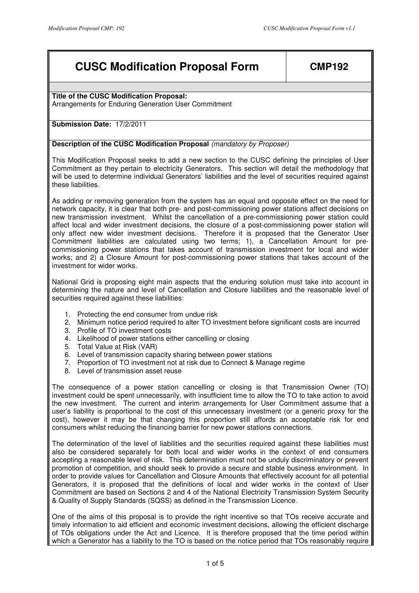# **CUSC Modification Proposal Form | CMP192**

**Title of the CUSC Modification Proposal:**  Arrangements for Enduring Generation User Commitment

# **Submission Date:** 17/2/2011

## **Description of the CUSC Modification Proposal (mandatory by Proposer)**

This Modification Proposal seeks to add a new section to the CUSC defining the principles of User Commitment as they pertain to electricity Generators. This section will detail the methodology that will be used to determine individual Generators' liabilities and the level of securities required against these liabilities.

As adding or removing generation from the system has an equal and opposite effect on the need for network capacity, it is clear that both pre- and post-commissioning power stations affect decisions on new transmission investment. Whilst the cancellation of a pre-commissioning power station could affect local and wider investment decisions, the closure of a post-commissioning power station will only affect new wider investment decisions. Therefore it is proposed that the Generator User Commitment liabilities are calculated using two terms; 1), a Cancellation Amount for precommissioning power stations that takes account of transmission investment for local and wider works; and 2) a Closure Amount for post-commissioning power stations that takes account of the investment for wider works.

National Grid is proposing eight main aspects that the enduring solution must take into account in determining the nature and level of Cancellation and Closure liabilities and the reasonable level of securities required against these liabilities:

- 1. Protecting the end consumer from undue risk
- 2. Minimum notice period required to alter TO investment before significant costs are incurred
- 3. Profile of TO investment costs
- 4. Likelihood of power stations either cancelling or closing
- 5. Total Value at Risk (VAR)
- 6. Level of transmission capacity sharing between power stations
- 7. Proportion of TO investment not at risk due to Connect & Manage regime
- 8. Level of transmission asset reuse

The consequence of a power station cancelling or closing is that Transmission Owner (TO) investment could be spent unnecessarily, with insufficient time to allow the TO to take action to avoid the new investment. The current and interim arrangements for User Commitment assume that a user's liability is proportional to the cost of this unnecessary investment (or a generic proxy for the cost), however it may be that changing this proportion still affords an acceptable risk for end consumers whilst reducing the financing barrier for new power stations connections.

The determination of the level of liabilities and the securities required against these liabilities must also be considered separately for both local and wider works in the context of end consumers accepting a reasonable level of risk. This determination must not be unduly discriminatory or prevent promotion of competition, and should seek to provide a secure and stable business environment. In order to provide values for Cancellation and Closure Amounts that effectively account for all potential Generators, it is proposed that the definitions of local and wider works in the context of User Commitment are based on Sections 2 and 4 of the National Electricity Transmission System Security & Quality of Supply Standards (SQSS) as defined in the Transmission Licence.

One of the aims of this proposal is to provide the right incentive so that TOs receive accurate and timely information to aid efficient and economic investment decisions, allowing the efficient discharge of TOs obligations under the Act and Licence. It is therefore proposed that the time period within which a Generator has a liability to the TO is based on the notice period that TOs reasonably require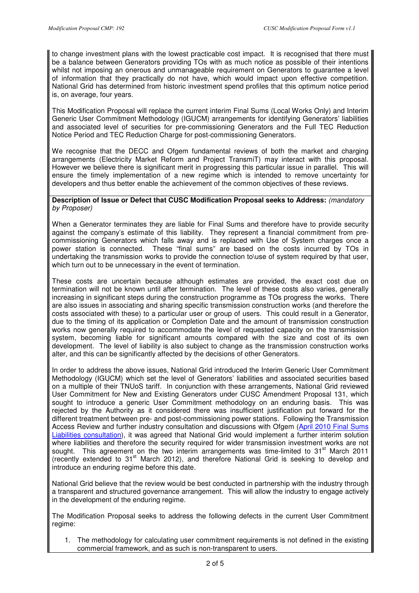to change investment plans with the lowest practicable cost impact. It is recognised that there must be a balance between Generators providing TOs with as much notice as possible of their intentions whilst not imposing an onerous and unmanageable requirement on Generators to guarantee a level of information that they practically do not have, which would impact upon effective competition. National Grid has determined from historic investment spend profiles that this optimum notice period is, on average, four years.

This Modification Proposal will replace the current interim Final Sums (Local Works Only) and Interim Generic User Commitment Methodology (IGUCM) arrangements for identifying Generators' liabilities and associated level of securities for pre-commissioning Generators and the Full TEC Reduction Notice Period and TEC Reduction Charge for post-commissioning Generators.

We recognise that the DECC and Ofgem fundamental reviews of both the market and charging arrangements (Electricity Market Reform and Project TransmiT) may interact with this proposal. However we believe there is significant merit in progressing this particular issue in parallel. This will ensure the timely implementation of a new regime which is intended to remove uncertainty for developers and thus better enable the achievement of the common objectives of these reviews.

### **Description of Issue or Defect that CUSC Modification Proposal seeks to Address:** (mandatory by Proposer)

When a Generator terminates they are liable for Final Sums and therefore have to provide security against the company's estimate of this liability. They represent a financial commitment from precommissioning Generators which falls away and is replaced with Use of System charges once a power station is connected. These "final sums" are based on the costs incurred by TOs in undertaking the transmission works to provide the connection to\use of system required by that user, which turn out to be unnecessary in the event of termination.

These costs are uncertain because although estimates are provided, the exact cost due on termination will not be known until after termination. The level of these costs also varies, generally increasing in significant steps during the construction programme as TOs progress the works. There are also issues in associating and sharing specific transmission construction works (and therefore the costs associated with these) to a particular user or group of users. This could result in a Generator, due to the timing of its application or Completion Date and the amount of transmission construction works now generally required to accommodate the level of requested capacity on the transmission system, becoming liable for significant amounts compared with the size and cost of its own development. The level of liability is also subject to change as the transmission construction works alter, and this can be significantly affected by the decisions of other Generators.

In order to address the above issues, National Grid introduced the Interim Generic User Commitment Methodology (IGUCM) which set the level of Generators' liabilities and associated securities based on a multiple of their TNUoS tariff. In conjunction with these arrangements, National Grid reviewed User Commitment for New and Existing Generators under CUSC Amendment Proposal 131, which sought to introduce a generic User Commitment methodology on an enduring basis. This was rejected by the Authority as it considered there was insufficient justification put forward for the different treatment between pre- and post-commissioning power stations. Following the Transmission Access Review and further industry consultation and discussions with Ofgem (April 2010 Final Sums Liabilities consultation), it was agreed that National Grid would implement a further interim solution where liabilities and therefore the security required for wider transmission investment works are not sought. This agreement on the two interim arrangements was time-limited to  $31<sup>st</sup>$  March 2011 (recently extended to 31<sup>st</sup> March 2012), and therefore National Grid is seeking to develop and introduce an enduring regime before this date.

National Grid believe that the review would be best conducted in partnership with the industry through a transparent and structured governance arrangement. This will allow the industry to engage actively in the development of the enduring regime.

The Modification Proposal seeks to address the following defects in the current User Commitment regime:

1. The methodology for calculating user commitment requirements is not defined in the existing commercial framework, and as such is non-transparent to users.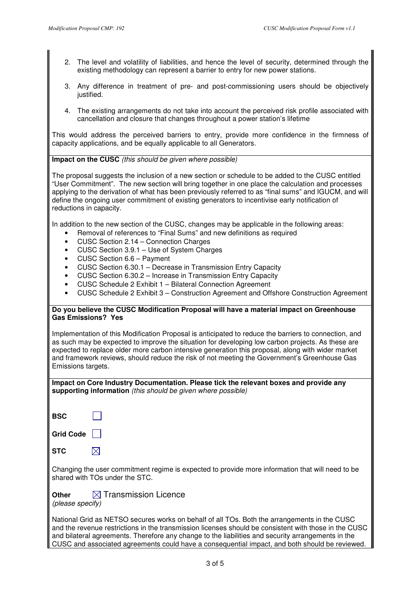- 2. The level and volatility of liabilities, and hence the level of security, determined through the existing methodology can represent a barrier to entry for new power stations.
- 3. Any difference in treatment of pre- and post-commissioning users should be objectively justified.
- 4. The existing arrangements do not take into account the perceived risk profile associated with cancellation and closure that changes throughout a power station's lifetime

This would address the perceived barriers to entry, provide more confidence in the firmness of capacity applications, and be equally applicable to all Generators.

# **Impact on the CUSC** (this should be given where possible)

The proposal suggests the inclusion of a new section or schedule to be added to the CUSC entitled "User Commitment". The new section will bring together in one place the calculation and processes applying to the derivation of what has been previously referred to as "final sums" and IGUCM, and will define the ongoing user commitment of existing generators to incentivise early notification of reductions in capacity.

In addition to the new section of the CUSC, changes may be applicable in the following areas:

- Removal of references to "Final Sums" and new definitions as required
- CUSC Section 2.14 Connection Charges
- CUSC Section 3.9.1 Use of System Charges
- CUSC Section 6.6 Payment
- CUSC Section 6.30.1 Decrease in Transmission Entry Capacity
- CUSC Section 6.30.2 Increase in Transmission Entry Capacity
- CUSC Schedule 2 Exhibit 1 Bilateral Connection Agreement
- CUSC Schedule 2 Exhibit 3 Construction Agreement and Offshore Construction Agreement

## **Do you believe the CUSC Modification Proposal will have a material impact on Greenhouse Gas Emissions? Yes**

Implementation of this Modification Proposal is anticipated to reduce the barriers to connection, and as such may be expected to improve the situation for developing low carbon projects. As these are expected to replace older more carbon intensive generation this proposal, along with wider market and framework reviews, should reduce the risk of not meeting the Government's Greenhouse Gas Emissions targets.

**Impact on Core Industry Documentation. Please tick the relevant boxes and provide any supporting information** (this should be given where possible)

| BSC |  |
|-----|--|

**Grid Code** 

 $\boxtimes$ 

| STC |  |  |  |
|-----|--|--|--|
|     |  |  |  |

Changing the user commitment regime is expected to provide more information that will need to be shared with TOs under the STC.

**Other N** Transmission Licence (please specify)

National Grid as NETSO secures works on behalf of all TOs. Both the arrangements in the CUSC and the revenue restrictions in the transmission licenses should be consistent with those in the CUSC and bilateral agreements. Therefore any change to the liabilities and security arrangements in the CUSC and associated agreements could have a consequential impact, and both should be reviewed.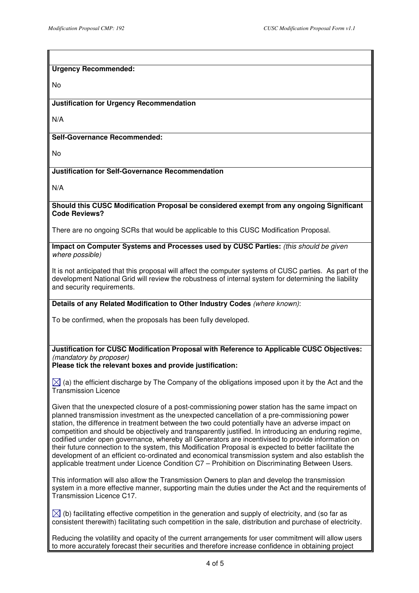## **Urgency Recommended:**

No

### **Justification for Urgency Recommendation**

N/A

## **Self-Governance Recommended:**

No

## **Justification for Self-Governance Recommendation**

N/A

#### **Should this CUSC Modification Proposal be considered exempt from any ongoing Significant Code Reviews?**

There are no ongoing SCRs that would be applicable to this CUSC Modification Proposal.

#### **Impact on Computer Systems and Processes used by CUSC Parties:** (this should be given where possible)

It is not anticipated that this proposal will affect the computer systems of CUSC parties. As part of the development National Grid will review the robustness of internal system for determining the liability and security requirements.

## **Details of any Related Modification to Other Industry Codes** (where known):

To be confirmed, when the proposals has been fully developed.

# **Justification for CUSC Modification Proposal with Reference to Applicable CUSC Objectives:**  (mandatory by proposer)

#### **Please tick the relevant boxes and provide justification:**

 $\boxtimes$  (a) the efficient discharge by The Company of the obligations imposed upon it by the Act and the Transmission Licence

Given that the unexpected closure of a post-commissioning power station has the same impact on planned transmission investment as the unexpected cancellation of a pre-commissioning power station, the difference in treatment between the two could potentially have an adverse impact on competition and should be objectively and transparently justified. In introducing an enduring regime, codified under open governance, whereby all Generators are incentivised to provide information on their future connection to the system, this Modification Proposal is expected to better facilitate the development of an efficient co-ordinated and economical transmission system and also establish the applicable treatment under Licence Condition C7 – Prohibition on Discriminating Between Users.

This information will also allow the Transmission Owners to plan and develop the transmission system in a more effective manner, supporting main the duties under the Act and the requirements of Transmission Licence C17.

 $\boxtimes$  (b) facilitating effective competition in the generation and supply of electricity, and (so far as consistent therewith) facilitating such competition in the sale, distribution and purchase of electricity.

Reducing the volatility and opacity of the current arrangements for user commitment will allow users to more accurately forecast their securities and therefore increase confidence in obtaining project